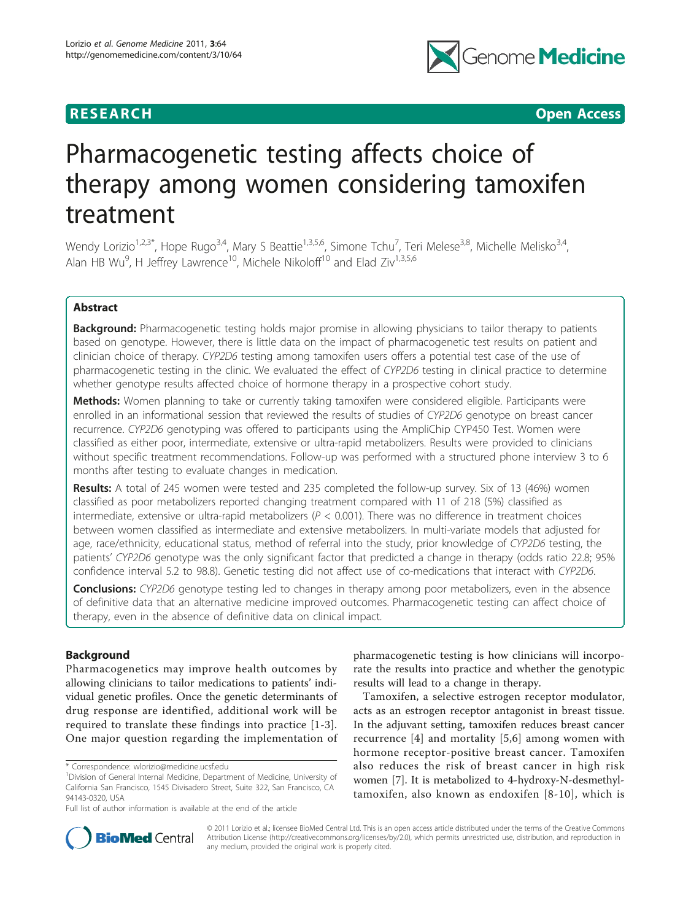

**RESEARCH CONTROL** CONTROL CONTROL CONTROL CONTROL CONTROL CONTROL CONTROL CONTROL CONTROL CONTROL CONTROL CONTROL CONTROL CONTROL CONTROL CONTROL CONTROL CONTROL CONTROL CONTROL CONTROL CONTROL CONTROL CONTROL CONTROL CON

# Pharmacogenetic testing affects choice of therapy among women considering tamoxifen treatment

Wendy Lorizio<sup>1,2,3\*</sup>, Hope Rugo<sup>3,4</sup>, Mary S Beattie<sup>1,3,5,6</sup>, Simone Tchu<sup>7</sup>, Teri Melese<sup>3,8</sup>, Michelle Melisko<sup>3,4</sup>, Alan HB Wu<sup>9</sup>, H Jeffrey Lawrence<sup>10</sup>, Michele Nikoloff<sup>10</sup> and Elad Ziv<sup>1,3,5,6</sup>

# Abstract

**Background:** Pharmacogenetic testing holds major promise in allowing physicians to tailor therapy to patients based on genotype. However, there is little data on the impact of pharmacogenetic test results on patient and clinician choice of therapy. CYP2D6 testing among tamoxifen users offers a potential test case of the use of pharmacogenetic testing in the clinic. We evaluated the effect of CYP2D6 testing in clinical practice to determine whether genotype results affected choice of hormone therapy in a prospective cohort study.

Methods: Women planning to take or currently taking tamoxifen were considered eligible. Participants were enrolled in an informational session that reviewed the results of studies of CYP2D6 genotype on breast cancer recurrence. CYP2D6 genotyping was offered to participants using the AmpliChip CYP450 Test. Women were classified as either poor, intermediate, extensive or ultra-rapid metabolizers. Results were provided to clinicians without specific treatment recommendations. Follow-up was performed with a structured phone interview 3 to 6 months after testing to evaluate changes in medication.

Results: A total of 245 women were tested and 235 completed the follow-up survey. Six of 13 (46%) women classified as poor metabolizers reported changing treatment compared with 11 of 218 (5%) classified as intermediate, extensive or ultra-rapid metabolizers ( $P < 0.001$ ). There was no difference in treatment choices between women classified as intermediate and extensive metabolizers. In multi-variate models that adjusted for age, race/ethnicity, educational status, method of referral into the study, prior knowledge of CYP2D6 testing, the patients' CYP2D6 genotype was the only significant factor that predicted a change in therapy (odds ratio 22.8; 95% confidence interval 5.2 to 98.8). Genetic testing did not affect use of co-medications that interact with CYP2D6.

**Conclusions:** CYP2D6 genotype testing led to changes in therapy among poor metabolizers, even in the absence of definitive data that an alternative medicine improved outcomes. Pharmacogenetic testing can affect choice of therapy, even in the absence of definitive data on clinical impact.

# Background

Pharmacogenetics may improve health outcomes by allowing clinicians to tailor medications to patients' individual genetic profiles. Once the genetic determinants of drug response are identified, additional work will be required to translate these findings into practice [[1](#page-9-0)-[3](#page-9-0)]. One major question regarding the implementation of pharmacogenetic testing is how clinicians will incorporate the results into practice and whether the genotypic results will lead to a change in therapy.

Tamoxifen, a selective estrogen receptor modulator, acts as an estrogen receptor antagonist in breast tissue. In the adjuvant setting, tamoxifen reduces breast cancer recurrence [\[4](#page-9-0)] and mortality [[5](#page-9-0),[6\]](#page-9-0) among women with hormone receptor-positive breast cancer. Tamoxifen also reduces the risk of breast cancer in high risk women [[7\]](#page-10-0). It is metabolized to 4-hydroxy-N-desmethyltamoxifen, also known as endoxifen [\[8-10](#page-10-0)], which is



© 2011 Lorizio et al.; licensee BioMed Central Ltd. This is an open access article distributed under the terms of the Creative Commons Attribution License [\(http://creativecommons.org/licenses/by/2.0](http://creativecommons.org/licenses/by/2.0)), which permits unrestricted use, distribution, and reproduction in any medium, provided the original work is properly cited.

<sup>\*</sup> Correspondence: [wlorizio@medicine.ucsf.edu](mailto:wlorizio@medicine.ucsf.edu)

<sup>&</sup>lt;sup>1</sup> Division of General Internal Medicine, Department of Medicine, University of California San Francisco, 1545 Divisadero Street, Suite 322, San Francisco, CA 94143-0320, USA

Full list of author information is available at the end of the article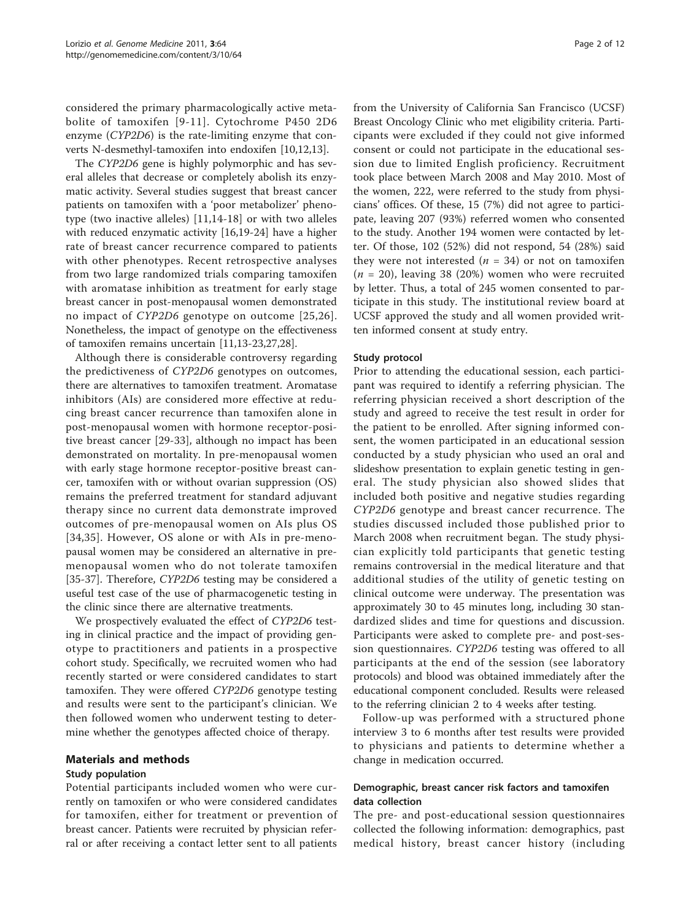considered the primary pharmacologically active metabolite of tamoxifen [[9-11\]](#page-10-0). Cytochrome P450 2D6 enzyme (CYP2D6) is the rate-limiting enzyme that converts N-desmethyl-tamoxifen into endoxifen [[10,12](#page-10-0),[13](#page-10-0)].

The CYP2D6 gene is highly polymorphic and has several alleles that decrease or completely abolish its enzymatic activity. Several studies suggest that breast cancer patients on tamoxifen with a 'poor metabolizer' phenotype (two inactive alleles) [\[11,14](#page-10-0)-[18](#page-10-0)] or with two alleles with reduced enzymatic activity [[16](#page-10-0),[19](#page-10-0)-[24\]](#page-10-0) have a higher rate of breast cancer recurrence compared to patients with other phenotypes. Recent retrospective analyses from two large randomized trials comparing tamoxifen with aromatase inhibition as treatment for early stage breast cancer in post-menopausal women demonstrated no impact of CYP2D6 genotype on outcome [[25,26\]](#page-10-0). Nonetheless, the impact of genotype on the effectiveness of tamoxifen remains uncertain [\[11,13-23,27,28\]](#page-10-0).

Although there is considerable controversy regarding the predictiveness of CYP2D6 genotypes on outcomes, there are alternatives to tamoxifen treatment. Aromatase inhibitors (AIs) are considered more effective at reducing breast cancer recurrence than tamoxifen alone in post-menopausal women with hormone receptor-positive breast cancer [[29-33](#page-10-0)], although no impact has been demonstrated on mortality. In pre-menopausal women with early stage hormone receptor-positive breast cancer, tamoxifen with or without ovarian suppression (OS) remains the preferred treatment for standard adjuvant therapy since no current data demonstrate improved outcomes of pre-menopausal women on AIs plus OS [[34](#page-10-0),[35](#page-10-0)]. However, OS alone or with AIs in pre-menopausal women may be considered an alternative in premenopausal women who do not tolerate tamoxifen [[35-37\]](#page-10-0). Therefore, CYP2D6 testing may be considered a useful test case of the use of pharmacogenetic testing in the clinic since there are alternative treatments.

We prospectively evaluated the effect of CYP2D6 testing in clinical practice and the impact of providing genotype to practitioners and patients in a prospective cohort study. Specifically, we recruited women who had recently started or were considered candidates to start tamoxifen. They were offered CYP2D6 genotype testing and results were sent to the participant's clinician. We then followed women who underwent testing to determine whether the genotypes affected choice of therapy.

# Materials and methods

#### Study population

Potential participants included women who were currently on tamoxifen or who were considered candidates for tamoxifen, either for treatment or prevention of breast cancer. Patients were recruited by physician referral or after receiving a contact letter sent to all patients Page 2 of 12

from the University of California San Francisco (UCSF) Breast Oncology Clinic who met eligibility criteria. Participants were excluded if they could not give informed consent or could not participate in the educational session due to limited English proficiency. Recruitment took place between March 2008 and May 2010. Most of the women, 222, were referred to the study from physicians' offices. Of these, 15 (7%) did not agree to participate, leaving 207 (93%) referred women who consented to the study. Another 194 women were contacted by letter. Of those, 102 (52%) did not respond, 54 (28%) said they were not interested ( $n = 34$ ) or not on tamoxifen  $(n = 20)$ , leaving 38 (20%) women who were recruited by letter. Thus, a total of 245 women consented to participate in this study. The institutional review board at UCSF approved the study and all women provided written informed consent at study entry.

#### Study protocol

Prior to attending the educational session, each participant was required to identify a referring physician. The referring physician received a short description of the study and agreed to receive the test result in order for the patient to be enrolled. After signing informed consent, the women participated in an educational session conducted by a study physician who used an oral and slideshow presentation to explain genetic testing in general. The study physician also showed slides that included both positive and negative studies regarding CYP2D6 genotype and breast cancer recurrence. The studies discussed included those published prior to March 2008 when recruitment began. The study physician explicitly told participants that genetic testing remains controversial in the medical literature and that additional studies of the utility of genetic testing on clinical outcome were underway. The presentation was approximately 30 to 45 minutes long, including 30 standardized slides and time for questions and discussion. Participants were asked to complete pre- and post-session questionnaires. CYP2D6 testing was offered to all participants at the end of the session (see laboratory protocols) and blood was obtained immediately after the educational component concluded. Results were released to the referring clinician 2 to 4 weeks after testing.

Follow-up was performed with a structured phone interview 3 to 6 months after test results were provided to physicians and patients to determine whether a change in medication occurred.

# Demographic, breast cancer risk factors and tamoxifen data collection

The pre- and post-educational session questionnaires collected the following information: demographics, past medical history, breast cancer history (including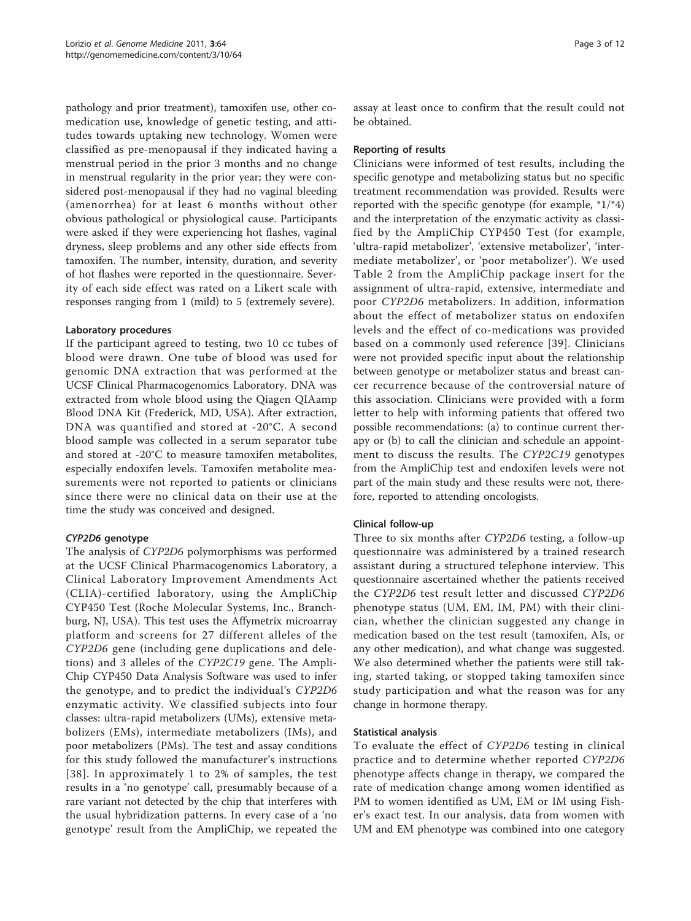pathology and prior treatment), tamoxifen use, other comedication use, knowledge of genetic testing, and attitudes towards uptaking new technology. Women were classified as pre-menopausal if they indicated having a menstrual period in the prior 3 months and no change in menstrual regularity in the prior year; they were considered post-menopausal if they had no vaginal bleeding (amenorrhea) for at least 6 months without other obvious pathological or physiological cause. Participants were asked if they were experiencing hot flashes, vaginal dryness, sleep problems and any other side effects from tamoxifen. The number, intensity, duration, and severity of hot flashes were reported in the questionnaire. Severity of each side effect was rated on a Likert scale with responses ranging from 1 (mild) to 5 (extremely severe).

# Laboratory procedures

If the participant agreed to testing, two 10 cc tubes of blood were drawn. One tube of blood was used for genomic DNA extraction that was performed at the UCSF Clinical Pharmacogenomics Laboratory. DNA was extracted from whole blood using the Qiagen QIAamp Blood DNA Kit (Frederick, MD, USA). After extraction, DNA was quantified and stored at -20°C. A second blood sample was collected in a serum separator tube and stored at -20°C to measure tamoxifen metabolites, especially endoxifen levels. Tamoxifen metabolite measurements were not reported to patients or clinicians since there were no clinical data on their use at the time the study was conceived and designed.

# CYP2D6 genotype

The analysis of CYP2D6 polymorphisms was performed at the UCSF Clinical Pharmacogenomics Laboratory, a Clinical Laboratory Improvement Amendments Act (CLIA)-certified laboratory, using the AmpliChip CYP450 Test (Roche Molecular Systems, Inc., Branchburg, NJ, USA). This test uses the Affymetrix microarray platform and screens for 27 different alleles of the CYP2D6 gene (including gene duplications and deletions) and 3 alleles of the CYP2C19 gene. The Ampli-Chip CYP450 Data Analysis Software was used to infer the genotype, and to predict the individual's CYP2D6 enzymatic activity. We classified subjects into four classes: ultra-rapid metabolizers (UMs), extensive metabolizers (EMs), intermediate metabolizers (IMs), and poor metabolizers (PMs). The test and assay conditions for this study followed the manufacturer's instructions [[38](#page-10-0)]. In approximately 1 to 2% of samples, the test results in a 'no genotype' call, presumably because of a rare variant not detected by the chip that interferes with the usual hybridization patterns. In every case of a 'no genotype' result from the AmpliChip, we repeated the assay at least once to confirm that the result could not be obtained.

#### Reporting of results

Clinicians were informed of test results, including the specific genotype and metabolizing status but no specific treatment recommendation was provided. Results were reported with the specific genotype (for example, \*1/\*4) and the interpretation of the enzymatic activity as classified by the AmpliChip CYP450 Test (for example, 'ultra-rapid metabolizer', 'extensive metabolizer', 'intermediate metabolizer', or 'poor metabolizer'). We used Table [2](#page-6-0) from the AmpliChip package insert for the assignment of ultra-rapid, extensive, intermediate and poor CYP2D6 metabolizers. In addition, information about the effect of metabolizer status on endoxifen levels and the effect of co-medications was provided based on a commonly used reference [[39](#page-10-0)]. Clinicians were not provided specific input about the relationship between genotype or metabolizer status and breast cancer recurrence because of the controversial nature of this association. Clinicians were provided with a form letter to help with informing patients that offered two possible recommendations: (a) to continue current therapy or (b) to call the clinician and schedule an appointment to discuss the results. The CYP2C19 genotypes from the AmpliChip test and endoxifen levels were not part of the main study and these results were not, therefore, reported to attending oncologists.

# Clinical follow-up

Three to six months after CYP2D6 testing, a follow-up questionnaire was administered by a trained research assistant during a structured telephone interview. This questionnaire ascertained whether the patients received the CYP2D6 test result letter and discussed CYP2D6 phenotype status (UM, EM, IM, PM) with their clinician, whether the clinician suggested any change in medication based on the test result (tamoxifen, AIs, or any other medication), and what change was suggested. We also determined whether the patients were still taking, started taking, or stopped taking tamoxifen since study participation and what the reason was for any change in hormone therapy.

#### Statistical analysis

To evaluate the effect of CYP2D6 testing in clinical practice and to determine whether reported CYP2D6 phenotype affects change in therapy, we compared the rate of medication change among women identified as PM to women identified as UM, EM or IM using Fisher's exact test. In our analysis, data from women with UM and EM phenotype was combined into one category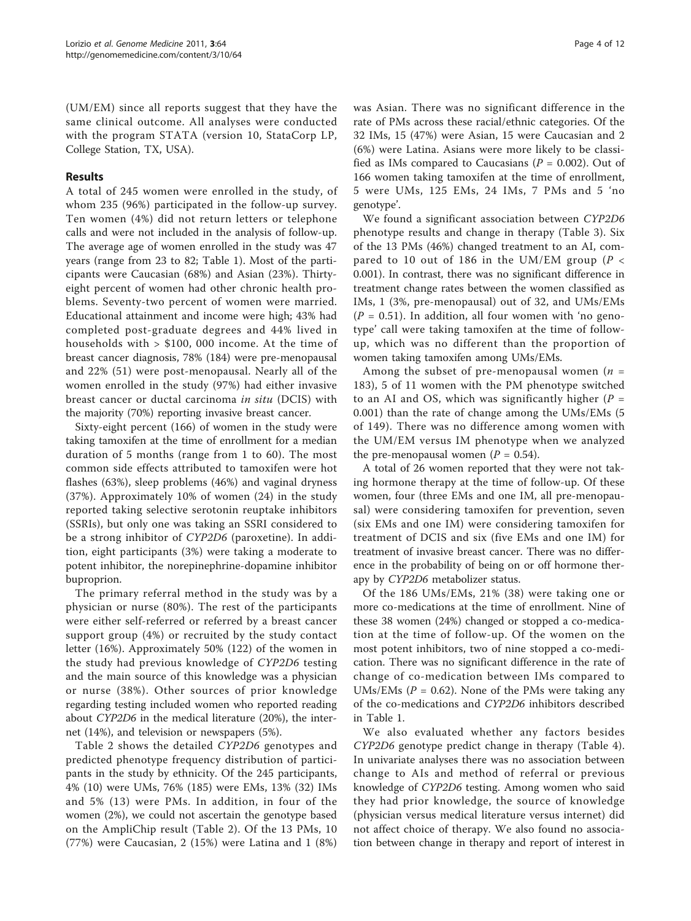(UM/EM) since all reports suggest that they have the same clinical outcome. All analyses were conducted with the program STATA (version 10, StataCorp LP, College Station, TX, USA).

# Results

A total of 245 women were enrolled in the study, of whom 235 (96%) participated in the follow-up survey. Ten women (4%) did not return letters or telephone calls and were not included in the analysis of follow-up. The average age of women enrolled in the study was 47 years (range from 23 to 82; Table [1](#page-4-0)). Most of the participants were Caucasian (68%) and Asian (23%). Thirtyeight percent of women had other chronic health problems. Seventy-two percent of women were married. Educational attainment and income were high; 43% had completed post-graduate degrees and 44% lived in households with > \$100, 000 income. At the time of breast cancer diagnosis, 78% (184) were pre-menopausal and 22% (51) were post-menopausal. Nearly all of the women enrolled in the study (97%) had either invasive breast cancer or ductal carcinoma in situ (DCIS) with the majority (70%) reporting invasive breast cancer.

Sixty-eight percent (166) of women in the study were taking tamoxifen at the time of enrollment for a median duration of 5 months (range from 1 to 60). The most common side effects attributed to tamoxifen were hot flashes (63%), sleep problems (46%) and vaginal dryness (37%). Approximately 10% of women (24) in the study reported taking selective serotonin reuptake inhibitors (SSRIs), but only one was taking an SSRI considered to be a strong inhibitor of CYP2D6 (paroxetine). In addition, eight participants (3%) were taking a moderate to potent inhibitor, the norepinephrine-dopamine inhibitor buproprion.

The primary referral method in the study was by a physician or nurse (80%). The rest of the participants were either self-referred or referred by a breast cancer support group (4%) or recruited by the study contact letter (16%). Approximately 50% (122) of the women in the study had previous knowledge of CYP2D6 testing and the main source of this knowledge was a physician or nurse (38%). Other sources of prior knowledge regarding testing included women who reported reading about CYP2D6 in the medical literature (20%), the internet (14%), and television or newspapers (5%).

Table [2](#page-6-0) shows the detailed CYP2D6 genotypes and predicted phenotype frequency distribution of participants in the study by ethnicity. Of the 245 participants, 4% (10) were UMs, 76% (185) were EMs, 13% (32) IMs and 5% (13) were PMs. In addition, in four of the women (2%), we could not ascertain the genotype based on the AmpliChip result (Table [2\)](#page-6-0). Of the 13 PMs, 10 (77%) were Caucasian, 2 (15%) were Latina and 1 (8%) was Asian. There was no significant difference in the rate of PMs across these racial/ethnic categories. Of the 32 IMs, 15 (47%) were Asian, 15 were Caucasian and 2 (6%) were Latina. Asians were more likely to be classified as IMs compared to Caucasians ( $P = 0.002$ ). Out of 166 women taking tamoxifen at the time of enrollment, 5 were UMs, 125 EMs, 24 IMs, 7 PMs and 5 'no genotype'.

We found a significant association between CYP2D6 phenotype results and change in therapy (Table [3\)](#page-7-0). Six of the 13 PMs (46%) changed treatment to an AI, compared to 10 out of 186 in the UM/EM group ( $P <$ 0.001). In contrast, there was no significant difference in treatment change rates between the women classified as IMs, 1 (3%, pre-menopausal) out of 32, and UMs/EMs  $(P = 0.51)$ . In addition, all four women with 'no genotype' call were taking tamoxifen at the time of followup, which was no different than the proportion of women taking tamoxifen among UMs/EMs.

Among the subset of pre-menopausal women  $(n =$ 183), 5 of 11 women with the PM phenotype switched to an AI and OS, which was significantly higher ( $P =$ 0.001) than the rate of change among the UMs/EMs (5 of 149). There was no difference among women with the UM/EM versus IM phenotype when we analyzed the pre-menopausal women ( $P = 0.54$ ).

A total of 26 women reported that they were not taking hormone therapy at the time of follow-up. Of these women, four (three EMs and one IM, all pre-menopausal) were considering tamoxifen for prevention, seven (six EMs and one IM) were considering tamoxifen for treatment of DCIS and six (five EMs and one IM) for treatment of invasive breast cancer. There was no difference in the probability of being on or off hormone therapy by CYP2D6 metabolizer status.

Of the 186 UMs/EMs, 21% (38) were taking one or more co-medications at the time of enrollment. Nine of these 38 women (24%) changed or stopped a co-medication at the time of follow-up. Of the women on the most potent inhibitors, two of nine stopped a co-medication. There was no significant difference in the rate of change of co-medication between IMs compared to UMs/EMs ( $P = 0.62$ ). None of the PMs were taking any of the co-medications and CYP2D6 inhibitors described in Table [1.](#page-4-0)

We also evaluated whether any factors besides CYP2D6 genotype predict change in therapy (Table [4](#page-8-0)). In univariate analyses there was no association between change to AIs and method of referral or previous knowledge of CYP2D6 testing. Among women who said they had prior knowledge, the source of knowledge (physician versus medical literature versus internet) did not affect choice of therapy. We also found no association between change in therapy and report of interest in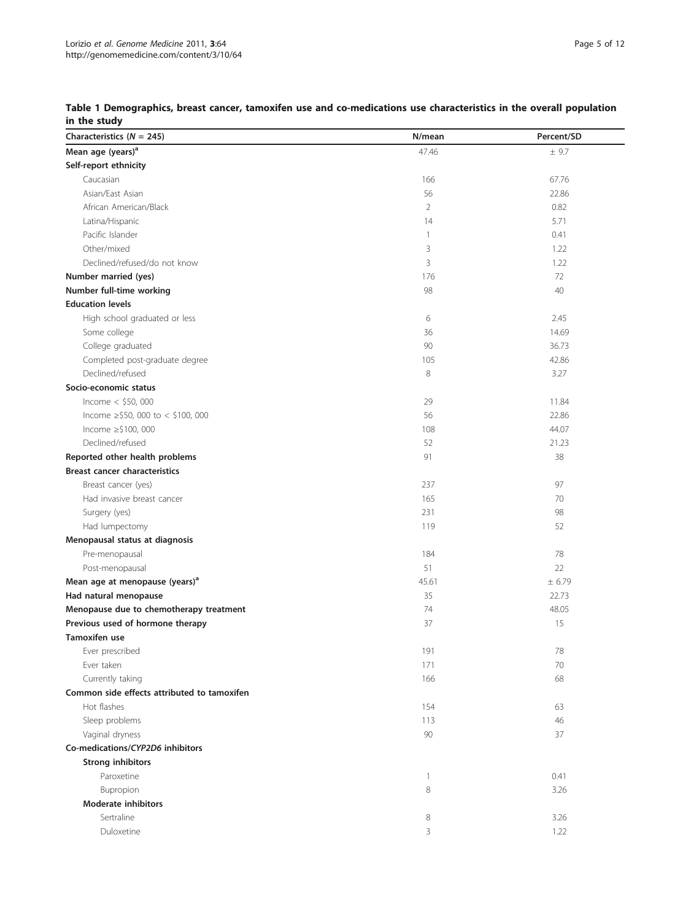| Characteristics ( $N = 245$ )               | N/mean         | Percent/SD |
|---------------------------------------------|----------------|------------|
| Mean age (years) <sup>a</sup>               | 47.46          | ± 9.7      |
| Self-report ethnicity                       |                |            |
| Caucasian                                   | 166            | 67.76      |
| Asian/East Asian                            | 56             | 22.86      |
| African American/Black                      | $\overline{2}$ | 0.82       |
| Latina/Hispanic                             | 14             | 5.71       |
| Pacific Islander                            | 1              | 0.41       |
| Other/mixed                                 | 3              | 1.22       |
| Declined/refused/do not know                | 3              | 1.22       |
| Number married (yes)                        | 176            | 72         |
| Number full-time working                    | 98             | 40         |
| <b>Education levels</b>                     |                |            |
| High school graduated or less               | 6              | 2.45       |
| Some college                                | 36             | 14.69      |
| College graduated                           | 90             | 36.73      |
| Completed post-graduate degree              | 105            | 42.86      |
| Declined/refused                            | 8              | 3.27       |
| Socio-economic status                       |                |            |
| Income $<$ \$50,000                         | 29             | 11.84      |
| Income $\ge$ \$50, 000 to < \$100, 000      | 56             | 22.86      |
| Income ≥\$100, 000                          | 108            | 44.07      |
| Declined/refused                            | 52             | 21.23      |
| Reported other health problems              | 91             | 38         |
| <b>Breast cancer characteristics</b>        |                |            |
| Breast cancer (yes)                         | 237            | 97         |
| Had invasive breast cancer                  | 165            | 70         |
| Surgery (yes)                               | 231            | 98         |
| Had lumpectomy                              | 119            | 52         |
| Menopausal status at diagnosis              |                |            |
| Pre-menopausal                              | 184            | 78         |
| Post-menopausal                             | 51             | 22         |
| Mean age at menopause (years) <sup>a</sup>  | 45.61          | ± 6.79     |
| Had natural menopause                       | 35             | 22.73      |
| Menopause due to chemotherapy treatment     | 74             | 48.05      |
| Previous used of hormone therapy            | 37             | 15         |
| <b>Tamoxifen use</b>                        |                |            |
| Ever prescribed                             | 191            | 78         |
| Ever taken                                  | 171            | 70         |
| Currently taking                            | 166            | 68         |
| Common side effects attributed to tamoxifen |                |            |
| Hot flashes                                 | 154            | 63         |
| Sleep problems                              | 113            | 46         |
| Vaginal dryness                             | 90             | 37         |
| Co-medications/CYP2D6 inhibitors            |                |            |
| <b>Strong inhibitors</b>                    |                |            |
| Paroxetine                                  | $\mathbf{1}$   | 0.41       |
| Bupropion                                   | 8              | 3.26       |
| Moderate inhibitors                         |                |            |
| Sertraline                                  | 8              | 3.26       |
| Duloxetine                                  | 3              | 1.22       |

# <span id="page-4-0"></span>Table 1 Demographics, breast cancer, tamoxifen use and co-medications use characteristics in the overall population in the study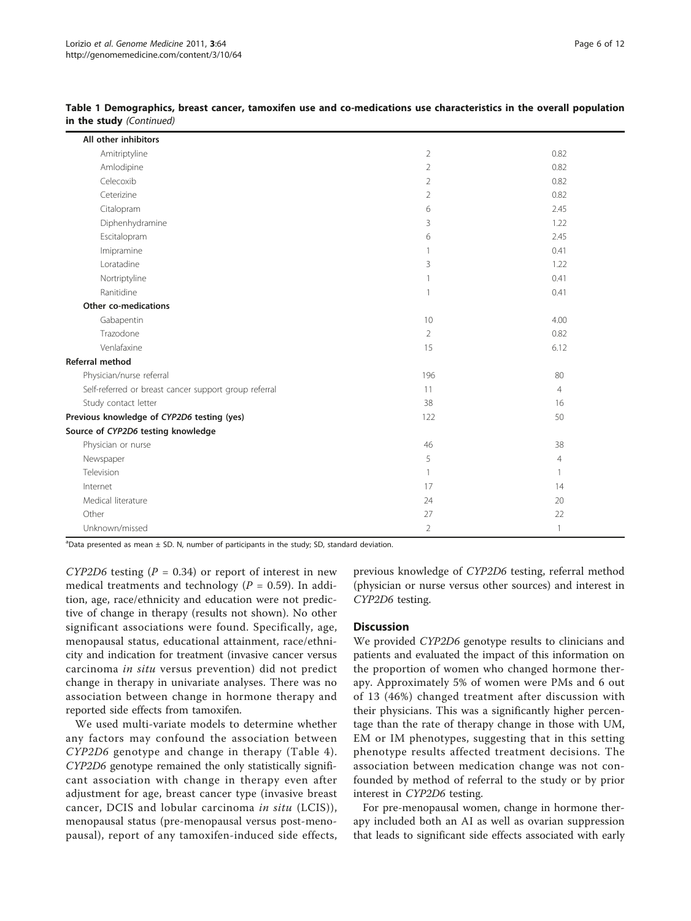| All other inhibitors                                  |                |                |
|-------------------------------------------------------|----------------|----------------|
| Amitriptyline                                         | $\overline{2}$ | 0.82           |
| Amlodipine                                            | $\overline{2}$ | 0.82           |
| Celecoxib                                             | $\overline{2}$ | 0.82           |
| Ceterizine                                            | $\overline{2}$ | 0.82           |
| Citalopram                                            | 6              | 2.45           |
| Diphenhydramine                                       | 3              | 1.22           |
| Escitalopram                                          | 6              | 2.45           |
| Imipramine                                            | $\mathbf{1}$   | 0.41           |
| Loratadine                                            | 3              | 1.22           |
| Nortriptyline                                         | 1              | 0.41           |
| Ranitidine                                            | 1              | 0.41           |
| Other co-medications                                  |                |                |
| Gabapentin                                            | 10             | 4.00           |
| Trazodone                                             | $\overline{2}$ | 0.82           |
| Venlafaxine                                           | 15             | 6.12           |
| <b>Referral method</b>                                |                |                |
| Physician/nurse referral                              | 196            | 80             |
| Self-referred or breast cancer support group referral | 11             | $\overline{4}$ |
| Study contact letter                                  | 38             | 16             |
| Previous knowledge of CYP2D6 testing (yes)            | 122            | 50             |
| Source of CYP2D6 testing knowledge                    |                |                |
| Physician or nurse                                    | 46             | 38             |
| Newspaper                                             | 5              | $\overline{4}$ |
| Television                                            | 1              | $\mathbf{1}$   |
| Internet                                              | 17             | 14             |
| Medical literature                                    | 24             | 20             |
| Other                                                 | 27             | 22             |
| Unknown/missed                                        | $\overline{2}$ | $\mathbf{1}$   |

#### Table 1 Demographics, breast cancer, tamoxifen use and co-medications use characteristics in the overall population in the study (Continued)

 $^{\text{a}}$ Data presented as mean  $\pm$  SD. N, number of participants in the study; SD, standard deviation.

 $CYP2D6$  testing ( $P = 0.34$ ) or report of interest in new medical treatments and technology ( $P = 0.59$ ). In addition, age, race/ethnicity and education were not predictive of change in therapy (results not shown). No other significant associations were found. Specifically, age, menopausal status, educational attainment, race/ethnicity and indication for treatment (invasive cancer versus carcinoma in situ versus prevention) did not predict change in therapy in univariate analyses. There was no association between change in hormone therapy and reported side effects from tamoxifen.

We used multi-variate models to determine whether any factors may confound the association between CYP2D6 genotype and change in therapy (Table [4\)](#page-8-0). CYP2D6 genotype remained the only statistically significant association with change in therapy even after adjustment for age, breast cancer type (invasive breast cancer, DCIS and lobular carcinoma in situ (LCIS)), menopausal status (pre-menopausal versus post-menopausal), report of any tamoxifen-induced side effects, previous knowledge of CYP2D6 testing, referral method (physician or nurse versus other sources) and interest in CYP2D6 testing.

#### **Discussion**

We provided CYP2D6 genotype results to clinicians and patients and evaluated the impact of this information on the proportion of women who changed hormone therapy. Approximately 5% of women were PMs and 6 out of 13 (46%) changed treatment after discussion with their physicians. This was a significantly higher percentage than the rate of therapy change in those with UM, EM or IM phenotypes, suggesting that in this setting phenotype results affected treatment decisions. The association between medication change was not confounded by method of referral to the study or by prior interest in CYP2D6 testing.

For pre-menopausal women, change in hormone therapy included both an AI as well as ovarian suppression that leads to significant side effects associated with early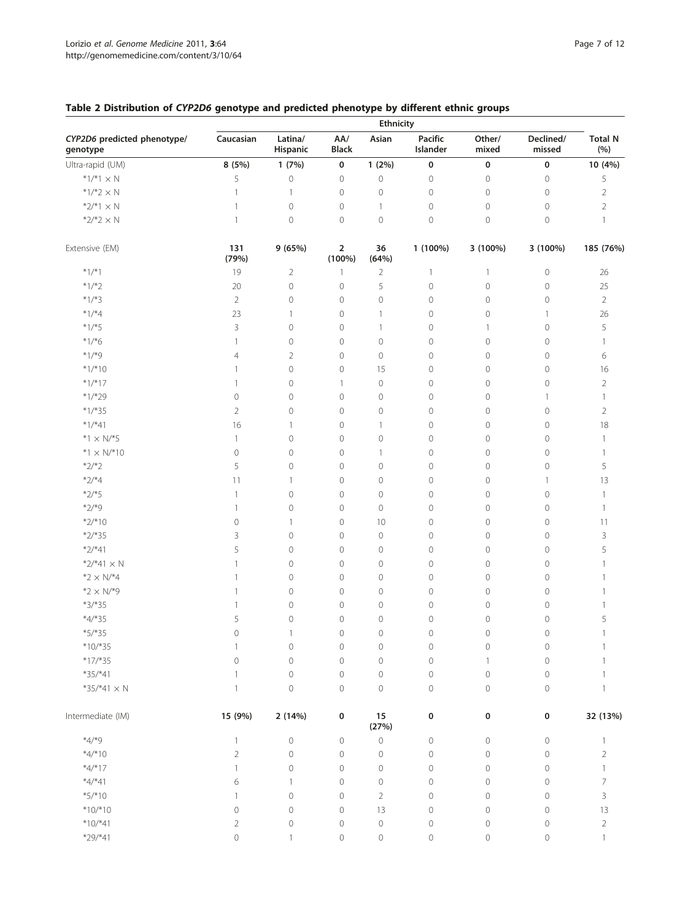|                                         | Ethnicity                 |                             |                             |                             |                            |                                                 |                          |                       |
|-----------------------------------------|---------------------------|-----------------------------|-----------------------------|-----------------------------|----------------------------|-------------------------------------------------|--------------------------|-----------------------|
| CYP2D6 predicted phenotype/<br>genotype | Caucasian                 | Latina/<br>Hispanic         | AA/<br><b>Black</b>         | Asian                       | Pacific<br>Islander        | Other/<br>mixed                                 | Declined/<br>missed      | <b>Total N</b><br>(%) |
| Ultra-rapid (UM)                        | 8 (5%)                    | 1(7%)                       | 0                           | 1(2%)                       | $\pmb{0}$                  | 0                                               | 0                        | 10 (4%)               |
| $*1/*1 \times N$                        | 5                         | $\circledcirc$              | $\mathbf 0$                 | 0                           | $\circ$                    | 0                                               | $\mathsf{O}\xspace$      | 5                     |
| $*1/*2 \times N$                        | 1                         | $\mathbf{1}$                | $\mathbf 0$                 | $\circ$                     | $\circ$                    | 0                                               | $\mathcal O$             | $\overline{c}$        |
| $*2/*1 \times N$                        | $\mathbf{1}$              | $\circledcirc$              | $\mathbf 0$                 | 1                           | $\circ$                    | $\mathbf 0$                                     | $\mathsf{O}\xspace$      | $\overline{2}$        |
| $*2/*2 \times N$                        | $\mathbf{1}$              | $\circledcirc$              | $\mathbf 0$                 | $\circ$                     | $\circ$                    | 0                                               | $\circ$                  | 1                     |
| Extensive (EM)                          | 131<br>(79%)              | 9(65%)                      | $\overline{2}$<br>$(100\%)$ | 36<br>(64%)                 | 1 (100%)                   | 3 (100%)                                        | 3 (100%)                 | 185 (76%)             |
| $^{\ast}1/^{\ast}1$                     | 19                        | $\overline{2}$              | 1                           | $\overline{2}$              | $\mathbf{1}$               | 1                                               | $\mathcal O$             | 26                    |
| $*1/*2$                                 | 20                        | $\mathcal O$                | $\circlearrowleft$          | 5                           | $\mathbf 0$                | 0                                               | $\bigcirc$               | 25                    |
| $*1/*3$                                 | $\overline{2}$            | $\circledcirc$              | $\circledcirc$              | $\circ$                     | $\mathbf 0$                | 0                                               | 0                        | $\overline{2}$        |
| $*1/*4$                                 | 23                        | 1                           | $\circ$                     |                             | $\mathbf 0$                | 0                                               | 1                        | 26                    |
| $*1/*5$                                 | 3                         | $\circledcirc$              | $\circledcirc$              | 1                           | $\mathbf 0$                | 1                                               | 0                        | 5                     |
| $*1/*6$                                 | $\mathbf{1}$              | $\circledcirc$              | $\circledcirc$              | 0                           | $\mathbf 0$                | 0                                               | 0                        | $\mathbb{1}$          |
| $*1/*9$                                 | $\overline{4}$            | $\sqrt{2}$                  | $\circ$                     | 0                           | $\mathbf 0$                | 0                                               | 0                        | 6                     |
| $*1/*10$                                | $\mathbb{1}$              | $\circledcirc$              | $\circledcirc$              | 15                          | $\mathbf 0$                | 0                                               | 0                        | 16                    |
| $*1/*17$                                | $\mathbb{1}$              | $\circledcirc$              | $\mathbb{1}$                | 0                           | $\mathbf 0$                | 0                                               | 0                        | $\overline{c}$        |
| $*1/*29$                                | $\circledcirc$            | $\circledcirc$              | $\circledcirc$              | $\circ$                     | $\mathbf 0$                | 0                                               | 1                        | 1                     |
| $*1/*35$                                | $\overline{2}$            | $\circledcirc$              | $\circ$                     | $\circ$                     | $\mathbf 0$                | 0                                               | $\circledcirc$           | $\overline{c}$        |
| $*1/*41$                                | 16                        | 1                           | $\circledcirc$              | 1                           | $\mathbf 0$                | 0                                               | $\circledcirc$           | 18                    |
| $*1 \times N/*5$                        | $\ensuremath{\mathsf{1}}$ | $\circledcirc$              | $\circ$                     | $\circ$                     | $\mathbf 0$                | 0                                               | 0                        | $\mathbb{1}$          |
| $*1 \times N/*10$                       | $\circledcirc$            | $\circledcirc$              | $\circ$                     | 1                           | $\mathbf 0$                | 0                                               | 0                        | $\mathbf{1}$          |
| $*2/*2$                                 | 5                         | $\circledcirc$              | $\circ$                     | $\circ$                     | $\mathbf 0$                | 0                                               | 0                        | 5                     |
| $*2/*4$                                 | 11                        | 1                           | $\circ$                     | $\circ$                     | $\mathbf 0$                | 0                                               | $\mathbb{1}$             | 13                    |
| $*2/*5$                                 | $\mathbb{1}$              | $\circledcirc$              | $\circ$                     | 0                           | $\mathbf 0$                | $\circ$                                         | $\circledcirc$           | $\mathbf{1}$          |
| $*2/*9$                                 | $\ensuremath{\mathsf{1}}$ | $\circledcirc$              | $\circ$                     | $\circ$                     | $\mathbf 0$                | 0                                               | 0                        | $\mathbf{1}$          |
| $*2/*10$                                | $\circ$                   | 1                           | $\circ$                     | 10                          | $\mathbf 0$                | 0                                               | $\circledcirc$           | 11                    |
| $*2/*35$                                | 3                         | $\circledcirc$              | $\circ$                     | 0                           | $\mathbf 0$                | 0                                               | $\circledcirc$           | 3                     |
| $*2/*41$                                | 5                         | $\circledcirc$              | $\circ$                     | 0                           | $\mathbf 0$                | 0                                               | $\circledcirc$           | 5                     |
| $*2/*41 \times N$                       | $\mathbf{1}$              | 0                           | $\circ$                     | 0                           | $\mathbf 0$                | $\circ$                                         | $\circledcirc$           | $\mathbb{1}$          |
| $*2 \times N/*4$                        | $\mathbb{1}$              | $\circledcirc$              | $\circ$                     | $\circ$                     | $\mathbf 0$                | 0                                               | 0                        | $\mathbb{1}$          |
| $*2 \times N/*9$                        | $\mathbf{1}$              | 0                           | $\circ$                     | 0                           | $\mathbf 0$                | 0                                               | $\circledcirc$           | $\mathbb{1}$          |
| $*3/*35$                                | 1                         | $\circledcirc$              | $\circledcirc$              | 0                           | $\mathbf 0$                | 0                                               | $\circledcirc$           | 1                     |
| $*4/*35$                                | 5                         | $\circledcirc$              | $\circ$                     | 0                           | $\circ$                    | 0                                               | 0                        | 5                     |
| $*5/*35$                                | $\circ$                   | 1                           | $\circ$                     | 0                           | $\circ$                    | 0                                               | 0                        | $\mathbf{1}$          |
| $*10/*35$                               | $\mathbf{1}$              | $\mathbb O$                 | $\mathcal O$                | $\circledcirc$              | $\circledcirc$             | $\circ$                                         | $\cal O$                 | $\mathbf{1}$          |
| $*17/*35$                               | $\mathcal O$              | $\mathcal O$                | $\mathcal O$                | $\mathbf 0$                 | $\mathbf 0$                | 1                                               | $\mathcal O$             | $\mathbf{1}$          |
| $*35/*41$                               | $\mathbb{1}$              |                             | $\mathbf 0$                 |                             |                            |                                                 |                          | $\mathbf{1}$          |
| $*35/*41 \times N$                      | $\mathbb{1}$              | $\mathbb O$<br>$\mathcal O$ | $\mathcal O$                | $\mathbf 0$<br>$\mathcal O$ | $\mathbf 0$<br>$\mathbf 0$ | $\begin{array}{c} \n\end{array}$<br>$\mathbf 0$ | $\cal O$<br>$\mathcal O$ | $\mathbf{1}$          |
| Intermediate (IM)                       | 15 (9%)                   | 2(14%)                      | 0                           | 15<br>(27%)                 | $\pmb{0}$                  | $\pmb{0}$                                       | 0                        | 32 (13%)              |
| $*4/*9$                                 | $\mathbf{1}$              | $\mathsf{O}\xspace$         | $\mathbb O$                 | $\mathcal O$                | $\mathbf 0$                | 0                                               | $\mathsf{O}\xspace$      | $\mathbf{1}$          |
| $*4/*10$                                | $\overline{2}$            | $\mathsf O$                 | $\mathcal O$                | $\mathsf{O}\xspace$         | $\mathbf 0$                | $\mathsf{O}\xspace$                             | $\mathcal O$             | $\sqrt{2}$            |
| $*4/*17$                                | $\mathbf{1}$              | $\mathsf{O}\xspace$         | $\mathcal O$                | $\mathcal O$                | $\mathbf 0$                | $\mathbf 0$                                     | $\mathcal O$             | $\mathbf{1}$          |
| $*4/*41$                                | 6                         | $\mathbf{1}$                | $\mathbf 0$                 | 0                           | $\mathbf 0$                | $\mathbf 0$                                     | $\mathcal O$             | $\overline{7}$        |
| $*5/*10$                                | 1                         | $\mathcal O$                | $\mathcal O$                | $\overline{2}$              | $\mathbf 0$                | $\mathcal O$                                    | $\mathcal O$             | 3                     |
| $*10/*10$                               | $\mathcal O$              | $\mathsf{O}\xspace$         | $\mathcal O$                | 13                          | $\mathbf 0$                | $\circledcirc$                                  | $\mathcal O$             | 13                    |
| $*10/*41$                               | $\sqrt{2}$                | 0                           | $\mathcal O$                | $\cal O$                    | $\mathbf 0$                | $\circledcirc$                                  | $\mathsf{O}\xspace$      | $\sqrt{2}$            |
| $*29/*41$                               | $\mathcal O$              | $\mathbf{1}$                | $\mathbf 0$                 | 0                           | $\mathbf 0$                | 0                                               | 0                        | $\mathbf{1}$          |
|                                         |                           |                             |                             |                             |                            |                                                 |                          |                       |

# <span id="page-6-0"></span>Table 2 Distribution of CYP2D6 genotype and predicted phenotype by different ethnic groups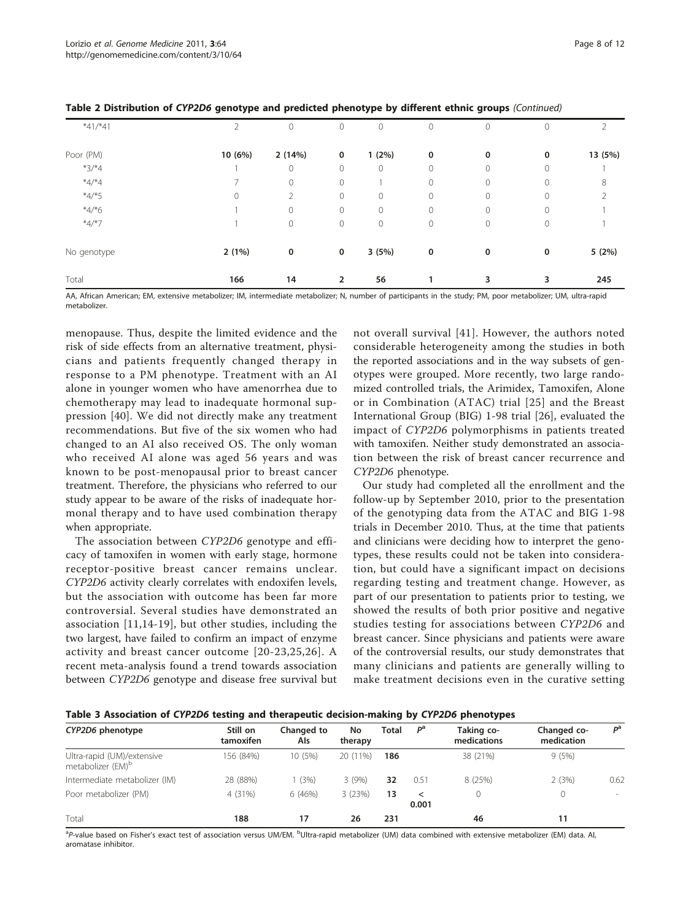| $*41/*41$   | 2      | $\circ$        | $\overline{0}$ | $\circ$     | 0 | $\circ$     | 0       | $\overline{2}$ |
|-------------|--------|----------------|----------------|-------------|---|-------------|---------|----------------|
| Poor (PM)   | 10(6%) | 2(14%)         | $\mathbf 0$    | $1(2\%)$    | 0 | 0           | 0       | 13 (5%)        |
| $*3/*4$     |        | $\circ$        | 0              | $\circ$     | 0 | $\circ$     | 0       |                |
| $*4/*4$     | ⇁      | $\circ$        | $\overline{0}$ |             | 0 | 0           | 0       | 8              |
| $*4/*5$     | 0      | $\overline{2}$ | $\overline{0}$ | $\circ$     | 0 | 0           | 0       | $\overline{2}$ |
| $*4/*6$     |        | $\circ$        | $\overline{0}$ | $\circ$     | 0 | 0           | 0       |                |
| $*4/*7$     |        | $\circ$        | $\mathbf 0$    | $\mathbb O$ | 0 | $\mathbf 0$ | $\circ$ |                |
| No genotype | 2(1%)  | 0              | 0              | 3(5%)       | 0 | 0           | 0       | 5(2%)          |
| Total       | 166    | 14             | 2              | 56          | 1 | 3           | 3       | 245            |

<span id="page-7-0"></span>Table 2 Distribution of CYP2D6 genotype and predicted phenotype by different ethnic groups (Continued)

AA, African American; EM, extensive metabolizer; IM, intermediate metabolizer; N, number of participants in the study; PM, poor metabolizer; UM, ultra-rapid metabolizer.

menopause. Thus, despite the limited evidence and the risk of side effects from an alternative treatment, physicians and patients frequently changed therapy in response to a PM phenotype. Treatment with an AI alone in younger women who have amenorrhea due to chemotherapy may lead to inadequate hormonal suppression [[40\]](#page-10-0). We did not directly make any treatment recommendations. But five of the six women who had changed to an AI also received OS. The only woman who received AI alone was aged 56 years and was known to be post-menopausal prior to breast cancer treatment. Therefore, the physicians who referred to our study appear to be aware of the risks of inadequate hormonal therapy and to have used combination therapy when appropriate.

The association between CYP2D6 genotype and efficacy of tamoxifen in women with early stage, hormone receptor-positive breast cancer remains unclear. CYP2D6 activity clearly correlates with endoxifen levels, but the association with outcome has been far more controversial. Several studies have demonstrated an association [[11,14-19](#page-10-0)], but other studies, including the two largest, have failed to confirm an impact of enzyme activity and breast cancer outcome [[20-23](#page-10-0),[25,26\]](#page-10-0). A recent meta-analysis found a trend towards association between CYP2D6 genotype and disease free survival but not overall survival [[41\]](#page-11-0). However, the authors noted considerable heterogeneity among the studies in both the reported associations and in the way subsets of genotypes were grouped. More recently, two large randomized controlled trials, the Arimidex, Tamoxifen, Alone or in Combination (ATAC) trial [[25\]](#page-10-0) and the Breast International Group (BIG) 1-98 trial [\[26](#page-10-0)], evaluated the impact of CYP2D6 polymorphisms in patients treated with tamoxifen. Neither study demonstrated an association between the risk of breast cancer recurrence and CYP2D6 phenotype.

Our study had completed all the enrollment and the follow-up by September 2010, prior to the presentation of the genotyping data from the ATAC and BIG 1-98 trials in December 2010. Thus, at the time that patients and clinicians were deciding how to interpret the genotypes, these results could not be taken into consideration, but could have a significant impact on decisions regarding testing and treatment change. However, as part of our presentation to patients prior to testing, we showed the results of both prior positive and negative studies testing for associations between CYP2D6 and breast cancer. Since physicians and patients were aware of the controversial results, our study demonstrates that many clinicians and patients are generally willing to make treatment decisions even in the curative setting

Table 3 Association of CYP2D6 testing and therapeutic decision-making by CYP2D6 phenotypes

| CYP2D6 phenotype                                            | Still on<br>tamoxifen | Changed to<br>Als | No<br>therapy | Total | $P^a$            | Taking co-<br>medications | Changed co-<br>medication | рa   |
|-------------------------------------------------------------|-----------------------|-------------------|---------------|-------|------------------|---------------------------|---------------------------|------|
| Ultra-rapid (UM)/extensive<br>metabolizer (EM) <sup>b</sup> | 156 (84%)             | 10(5%)            | 20 (11%)      | 186   |                  | 38 (21%)                  | 9(5%)                     |      |
| Intermediate metabolizer (IM)                               | 28 (88%)              | (3%)              | 3(9%)         | 32    | 0.51             | 8(25%)                    | 2(3%)                     | 0.62 |
| Poor metabolizer (PM)                                       | 4 (31%)               | 6(46%)            | 3(23%)        | 13    | $\,<\,$<br>0.001 |                           | $\Omega$                  | $\,$ |
| Total                                                       | 188                   | 17                | 26            | 231   |                  | 46                        | 11                        |      |

<sup>a</sup>P-value based on Fisher's exact test of association versus UM/EM. <sup>b</sup>Ultra-rapid metabolizer (UM) data combined with extensive metabolizer (EM) data. Al, aromatase inhibitor.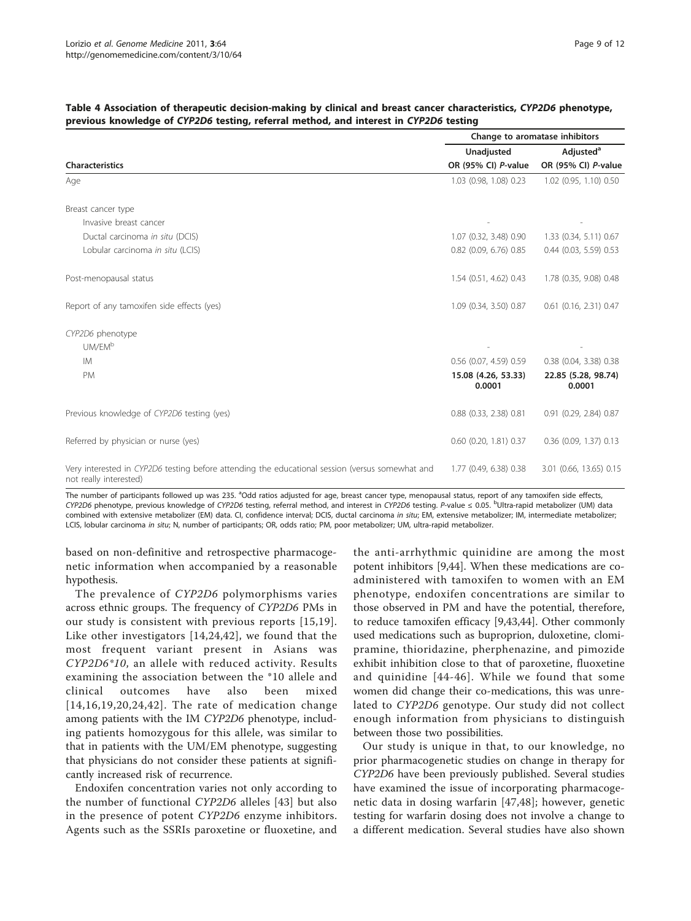|                                                                                                                           | Change to aromatase inhibitors |                               |  |  |  |
|---------------------------------------------------------------------------------------------------------------------------|--------------------------------|-------------------------------|--|--|--|
|                                                                                                                           | <b>Unadjusted</b>              | Adjusted <sup>a</sup>         |  |  |  |
| <b>Characteristics</b>                                                                                                    | OR (95% CI) P-value            | OR (95% CI) P-value           |  |  |  |
| Age                                                                                                                       | 1.03 (0.98, 1.08) 0.23         | 1.02 (0.95, 1.10) 0.50        |  |  |  |
| Breast cancer type                                                                                                        |                                |                               |  |  |  |
| Invasive breast cancer                                                                                                    |                                |                               |  |  |  |
| Ductal carcinoma in situ (DCIS)                                                                                           | 1.07 (0.32, 3.48) 0.90         | 1.33 (0.34, 5.11) 0.67        |  |  |  |
| Lobular carcinoma in situ (LCIS)                                                                                          | $0.82$ (0.09, 6.76) 0.85       | $0.44$ (0.03, 5.59) 0.53      |  |  |  |
| Post-menopausal status                                                                                                    | 1.54 (0.51, 4.62) 0.43         | 1.78 (0.35, 9.08) 0.48        |  |  |  |
| Report of any tamoxifen side effects (yes)                                                                                | 1.09 (0.34, 3.50) 0.87         | $0.61$ (0.16, 2.31) 0.47      |  |  |  |
| CYP2D6 phenotype<br>UM/EM <sup>b</sup>                                                                                    |                                |                               |  |  |  |
| <b>IM</b>                                                                                                                 | 0.56 (0.07, 4.59) 0.59         | 0.38 (0.04, 3.38) 0.38        |  |  |  |
| <b>PM</b>                                                                                                                 | 15.08 (4.26, 53.33)<br>0.0001  | 22.85 (5.28, 98.74)<br>0.0001 |  |  |  |
| Previous knowledge of CYP2D6 testing (yes)                                                                                | 0.88 (0.33, 2.38) 0.81         | 0.91 (0.29, 2.84) 0.87        |  |  |  |
| Referred by physician or nurse (yes)                                                                                      | 0.60 (0.20, 1.81) 0.37         | $0.36$ (0.09, 1.37) $0.13$    |  |  |  |
| Very interested in CYP2D6 testing before attending the educational session (versus somewhat and<br>not really interested) | 1.77 (0.49, 6.38) 0.38         | 3.01 (0.66, 13.65) 0.15       |  |  |  |

#### <span id="page-8-0"></span>Table 4 Association of therapeutic decision-making by clinical and breast cancer characteristics, CYP2D6 phenotype, previous knowledge of CYP2D6 testing, referral method, and interest in CYP2D6 testing

The number of participants followed up was 235. <sup>a</sup>Odd ratios adjusted for age, breast cancer type, menopausal status, report of any tamoxifen side effects, CYP2D6 phenotype, previous knowledge of CYP2D6 testing, referral method, and interest in CYP2D6 testing. P-value ≤ 0.05. <sup>b</sup>Ultra-rapid metabolizer (UM) data combined with extensive metabolizer (EM) data. CI, confidence interval; DCIS, ductal carcinoma in situ; EM, extensive metabolizer; IM, intermediate metabolizer; LCIS, lobular carcinoma in situ; N, number of participants; OR, odds ratio; PM, poor metabolizer; UM, ultra-rapid metabolizer.

based on non-definitive and retrospective pharmacogenetic information when accompanied by a reasonable hypothesis.

The prevalence of CYP2D6 polymorphisms varies across ethnic groups. The frequency of CYP2D6 PMs in our study is consistent with previous reports [[15](#page-10-0),[19\]](#page-10-0). Like other investigators [[14](#page-10-0),[24,](#page-10-0)[42\]](#page-11-0), we found that the most frequent variant present in Asians was CYP2D6\*10, an allele with reduced activity. Results examining the association between the \*10 allele and clinical outcomes have also been mixed [[14](#page-10-0),[16](#page-10-0),[19,20](#page-10-0),[24](#page-10-0),[42\]](#page-11-0). The rate of medication change among patients with the IM CYP2D6 phenotype, including patients homozygous for this allele, was similar to that in patients with the UM/EM phenotype, suggesting that physicians do not consider these patients at significantly increased risk of recurrence.

Endoxifen concentration varies not only according to the number of functional CYP2D6 alleles [[43\]](#page-11-0) but also in the presence of potent CYP2D6 enzyme inhibitors. Agents such as the SSRIs paroxetine or fluoxetine, and

the anti-arrhythmic quinidine are among the most potent inhibitors [[9,](#page-10-0)[44\]](#page-11-0). When these medications are coadministered with tamoxifen to women with an EM phenotype, endoxifen concentrations are similar to those observed in PM and have the potential, therefore, to reduce tamoxifen efficacy [\[9](#page-10-0)[,43](#page-11-0),[44](#page-11-0)]. Other commonly used medications such as buproprion, duloxetine, clomipramine, thioridazine, pherphenazine, and pimozide exhibit inhibition close to that of paroxetine, fluoxetine and quinidine [[44-46\]](#page-11-0). While we found that some women did change their co-medications, this was unrelated to CYP2D6 genotype. Our study did not collect enough information from physicians to distinguish between those two possibilities.

Our study is unique in that, to our knowledge, no prior pharmacogenetic studies on change in therapy for CYP2D6 have been previously published. Several studies have examined the issue of incorporating pharmacogenetic data in dosing warfarin [[47,48](#page-11-0)]; however, genetic testing for warfarin dosing does not involve a change to a different medication. Several studies have also shown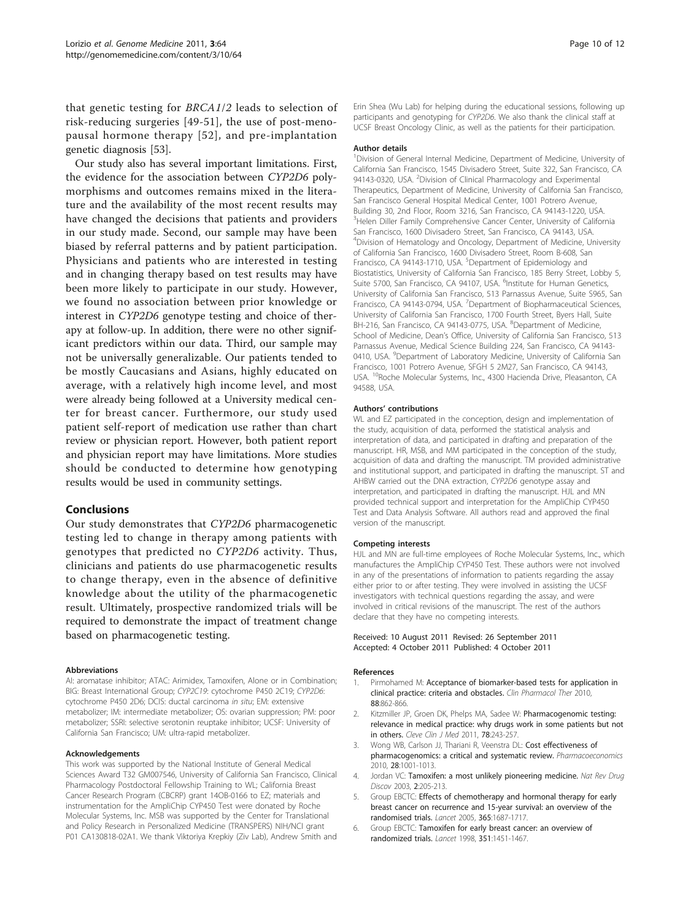<span id="page-9-0"></span>that genetic testing for BRCA1/2 leads to selection of risk-reducing surgeries [[49-51\]](#page-11-0), the use of post-menopausal hormone therapy [[52\]](#page-11-0), and pre-implantation genetic diagnosis [[53](#page-11-0)].

Our study also has several important limitations. First, the evidence for the association between CYP2D6 polymorphisms and outcomes remains mixed in the literature and the availability of the most recent results may have changed the decisions that patients and providers in our study made. Second, our sample may have been biased by referral patterns and by patient participation. Physicians and patients who are interested in testing and in changing therapy based on test results may have been more likely to participate in our study. However, we found no association between prior knowledge or interest in CYP2D6 genotype testing and choice of therapy at follow-up. In addition, there were no other significant predictors within our data. Third, our sample may not be universally generalizable. Our patients tended to be mostly Caucasians and Asians, highly educated on average, with a relatively high income level, and most were already being followed at a University medical center for breast cancer. Furthermore, our study used patient self-report of medication use rather than chart review or physician report. However, both patient report and physician report may have limitations. More studies should be conducted to determine how genotyping results would be used in community settings.

# Conclusions

Our study demonstrates that CYP2D6 pharmacogenetic testing led to change in therapy among patients with genotypes that predicted no CYP2D6 activity. Thus, clinicians and patients do use pharmacogenetic results to change therapy, even in the absence of definitive knowledge about the utility of the pharmacogenetic result. Ultimately, prospective randomized trials will be required to demonstrate the impact of treatment change based on pharmacogenetic testing.

#### **Abbreviations**

AI: aromatase inhibitor; ATAC: Arimidex, Tamoxifen, Alone or in Combination; BIG: Breast International Group; CYP2C19: cytochrome P450 2C19; CYP2D6: cytochrome P450 2D6; DCIS: ductal carcinoma in situ; EM: extensive metabolizer; IM: intermediate metabolizer; OS: ovarian suppression; PM: poor metabolizer; SSRI: selective serotonin reuptake inhibitor; UCSF: University of California San Francisco; UM: ultra-rapid metabolizer.

#### Acknowledgements

This work was supported by the National Institute of General Medical Sciences Award T32 GM007546, University of California San Francisco, Clinical Pharmacology Postdoctoral Fellowship Training to WL; California Breast Cancer Research Program (CBCRP) grant 14OB-0166 to EZ; materials and instrumentation for the AmpliChip CYP450 Test were donated by Roche Molecular Systems, Inc. MSB was supported by the Center for Translational and Policy Research in Personalized Medicine (TRANSPERS) NIH/NCI grant P01 CA130818-02A1. We thank Viktoriya Krepkiy (Ziv Lab), Andrew Smith and Erin Shea (Wu Lab) for helping during the educational sessions, following up participants and genotyping for CYP2D6. We also thank the clinical staff at UCSF Breast Oncology Clinic, as well as the patients for their participation.

#### Author details

<sup>1</sup> Division of General Internal Medicine, Department of Medicine, University of California San Francisco, 1545 Divisadero Street, Suite 322, San Francisco, CA 94143-0320, USA. <sup>2</sup> Division of Clinical Pharmacology and Experimental Therapeutics, Department of Medicine, University of California San Francisco, San Francisco General Hospital Medical Center, 1001 Potrero Avenue, Building 30, 2nd Floor, Room 3216, San Francisco, CA 94143-1220, USA. <sup>3</sup>Helen Diller Family Comprehensive Cancer Center, University of California San Francisco, 1600 Divisadero Street, San Francisco, CA 94143, USA. 4 Division of Hematology and Oncology, Department of Medicine, University of California San Francisco, 1600 Divisadero Street, Room B-608, San Francisco, CA 94143-1710, USA. <sup>5</sup>Department of Epidemiology and Biostatistics, University of California San Francisco, 185 Berry Street, Lobby 5, Suite 5700, San Francisco, CA 94107, USA. <sup>6</sup>Institute for Human Genetics University of California San Francisco, 513 Parnassus Avenue, Suite S965, San Francisco, CA 94143-0794, USA. <sup>7</sup>Department of Biopharmaceutical Sciences University of California San Francisco, 1700 Fourth Street, Byers Hall, Suite BH-216, San Francisco, CA 94143-0775, USA. <sup>8</sup>Department of Medicine School of Medicine, Dean's Office, University of California San Francisco, 513 Parnassus Avenue, Medical Science Building 224, San Francisco, CA 94143- 0410, USA. <sup>9</sup>Department of Laboratory Medicine, University of California San Francisco, 1001 Potrero Avenue, SFGH 5 2M27, San Francisco, CA 94143, USA. <sup>10</sup>Roche Molecular Systems, Inc., 4300 Hacienda Drive, Pleasanton, CA 94588, USA.

#### Authors' contributions

WL and EZ participated in the conception, design and implementation of the study, acquisition of data, performed the statistical analysis and interpretation of data, and participated in drafting and preparation of the manuscript. HR, MSB, and MM participated in the conception of the study, acquisition of data and drafting the manuscript. TM provided administrative and institutional support, and participated in drafting the manuscript. ST and AHBW carried out the DNA extraction, CYP2D6 genotype assay and interpretation, and participated in drafting the manuscript. HJL and MN provided technical support and interpretation for the AmpliChip CYP450 Test and Data Analysis Software. All authors read and approved the final version of the manuscript.

#### Competing interests

HJL and MN are full-time employees of Roche Molecular Systems, Inc., which manufactures the AmpliChip CYP450 Test. These authors were not involved in any of the presentations of information to patients regarding the assay either prior to or after testing. They were involved in assisting the UCSF investigators with technical questions regarding the assay, and were involved in critical revisions of the manuscript. The rest of the authors declare that they have no competing interests.

Received: 10 August 2011 Revised: 26 September 2011 Accepted: 4 October 2011 Published: 4 October 2011

#### References

- 1. Pirmohamed M: [Acceptance of biomarker-based tests for application in](http://www.ncbi.nlm.nih.gov/pubmed/20981006?dopt=Abstract) [clinical practice: criteria and obstacles.](http://www.ncbi.nlm.nih.gov/pubmed/20981006?dopt=Abstract) Clin Pharmacol Ther 2010, 88:862-866.
- 2. Kitzmiller JP, Groen DK, Phelps MA, Sadee W: [Pharmacogenomic testing:](http://www.ncbi.nlm.nih.gov/pubmed/21460130?dopt=Abstract) [relevance in medical practice: why drugs work in some patients but not](http://www.ncbi.nlm.nih.gov/pubmed/21460130?dopt=Abstract) [in others.](http://www.ncbi.nlm.nih.gov/pubmed/21460130?dopt=Abstract) Cleve Clin J Med 2011, 78:243-257.
- 3. Wong WB, Carlson JJ, Thariani R, Veenstra DL: [Cost effectiveness of](http://www.ncbi.nlm.nih.gov/pubmed/20936884?dopt=Abstract) [pharmacogenomics: a critical and systematic review.](http://www.ncbi.nlm.nih.gov/pubmed/20936884?dopt=Abstract) Pharmacoeconomics 2010, 28:1001-1013.
- 4. Jordan VC: [Tamoxifen: a most unlikely pioneering medicine.](http://www.ncbi.nlm.nih.gov/pubmed/12612646?dopt=Abstract) Nat Rev Drug Discov 2003, 2:205-213.
- 5. Group EBCTC: [Effects of chemotherapy and hormonal therapy for early](http://www.ncbi.nlm.nih.gov/pubmed/15894097?dopt=Abstract) [breast cancer on recurrence and 15-year survival: an overview of the](http://www.ncbi.nlm.nih.gov/pubmed/15894097?dopt=Abstract) [randomised trials.](http://www.ncbi.nlm.nih.gov/pubmed/15894097?dopt=Abstract) Lancet 2005, 365:1687-1717.
- 6. Group EBCTC: [Tamoxifen for early breast cancer: an overview of](http://www.ncbi.nlm.nih.gov/pubmed/9605801?dopt=Abstract) [randomized trials.](http://www.ncbi.nlm.nih.gov/pubmed/9605801?dopt=Abstract) Lancet 1998, 351:1451-1467.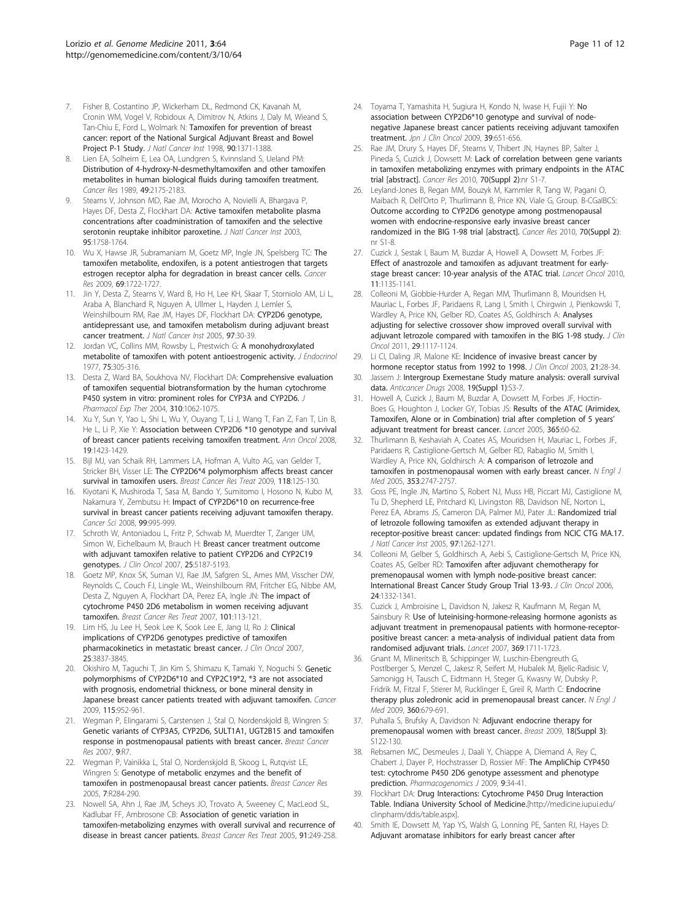- <span id="page-10-0"></span>7. Fisher B, Costantino JP, Wickerham DL, Redmond CK, Kavanah M, Cronin WM, Vogel V, Robidoux A, Dimitrov N, Atkins J, Daly M, Wieand S, Tan-Chiu E, Ford L, Wolmark N: [Tamoxifen for prevention of breast](http://www.ncbi.nlm.nih.gov/pubmed/9747868?dopt=Abstract) [cancer: report of the National Surgical Adjuvant Breast and Bowel](http://www.ncbi.nlm.nih.gov/pubmed/9747868?dopt=Abstract) [Project P-1 Study.](http://www.ncbi.nlm.nih.gov/pubmed/9747868?dopt=Abstract) J Natl Cancer Inst 1998, 90:1371-1388.
- Lien EA, Solheim E, Lea OA, Lundgren S, Kvinnsland S, Ueland PM: [Distribution of 4-hydroxy-N-desmethyltamoxifen and other tamoxifen](http://www.ncbi.nlm.nih.gov/pubmed/2702659?dopt=Abstract) [metabolites in human biological fluids during tamoxifen treatment.](http://www.ncbi.nlm.nih.gov/pubmed/2702659?dopt=Abstract) Cancer Res 1989, 49:2175-2183.
- 9. Stearns V, Johnson MD, Rae JM, Morocho A, Novielli A, Bhargava P, Hayes DF, Desta Z, Flockhart DA: [Active tamoxifen metabolite plasma](http://www.ncbi.nlm.nih.gov/pubmed/14652237?dopt=Abstract) [concentrations after coadministration of tamoxifen and the selective](http://www.ncbi.nlm.nih.gov/pubmed/14652237?dopt=Abstract) [serotonin reuptake inhibitor paroxetine.](http://www.ncbi.nlm.nih.gov/pubmed/14652237?dopt=Abstract) J Natl Cancer Inst 2003, 95:1758-1764.
- 10. Wu X, Hawse JR, Subramaniam M, Goetz MP, Ingle JN, Spelsberg TC: [The](http://www.ncbi.nlm.nih.gov/pubmed/19244106?dopt=Abstract) [tamoxifen metabolite, endoxifen, is a potent antiestrogen that targets](http://www.ncbi.nlm.nih.gov/pubmed/19244106?dopt=Abstract) [estrogen receptor alpha for degradation in breast cancer cells.](http://www.ncbi.nlm.nih.gov/pubmed/19244106?dopt=Abstract) Cancer Res 2009, 69:1722-1727.
- 11. Jin Y, Desta Z, Stearns V, Ward B, Ho H, Lee KH, Skaar T, Storniolo AM, Li L, Araba A, Blanchard R, Nguyen A, Ullmer L, Hayden J, Lemler S, Weinshilboum RM, Rae JM, Hayes DF, Flockhart DA: [CYP2D6 genotype,](http://www.ncbi.nlm.nih.gov/pubmed/15632378?dopt=Abstract) [antidepressant use, and tamoxifen metabolism during adjuvant breast](http://www.ncbi.nlm.nih.gov/pubmed/15632378?dopt=Abstract) [cancer treatment.](http://www.ncbi.nlm.nih.gov/pubmed/15632378?dopt=Abstract) J Natl Cancer Inst 2005, 97:30-39.
- 12. Jordan VC, Collins MM, Rowsby L, Prestwich G: [A monohydroxylated](http://www.ncbi.nlm.nih.gov/pubmed/591813?dopt=Abstract) [metabolite of tamoxifen with potent antioestrogenic activity.](http://www.ncbi.nlm.nih.gov/pubmed/591813?dopt=Abstract) *J Endocrinol* 1977, 75:305-316.
- 13. Desta Z, Ward BA, Soukhova NV, Flockhart DA: [Comprehensive evaluation](http://www.ncbi.nlm.nih.gov/pubmed/15159443?dopt=Abstract) [of tamoxifen sequential biotransformation by the human cytochrome](http://www.ncbi.nlm.nih.gov/pubmed/15159443?dopt=Abstract) [P450 system in vitro: prominent roles for CYP3A and CYP2D6.](http://www.ncbi.nlm.nih.gov/pubmed/15159443?dopt=Abstract) J Pharmacol Exp Ther 2004, 310:1062-1075.
- 14. Xu Y, Sun Y, Yao L, Shi L, Wu Y, Ouyang T, Li J, Wang T, Fan Z, Fan T, Lin B, He L, Li P, Xie Y: [Association between CYP2D6 \\*10 genotype and survival](http://www.ncbi.nlm.nih.gov/pubmed/18407954?dopt=Abstract) [of breast cancer patients receiving tamoxifen treatment.](http://www.ncbi.nlm.nih.gov/pubmed/18407954?dopt=Abstract) Ann Oncol 2008, 19:1423-1429.
- 15. Bijl MJ, van Schaik RH, Lammers LA, Hofman A, Vulto AG, van Gelder T, Stricker BH, Visser LE: [The CYP2D6\\*4 polymorphism affects breast cancer](http://www.ncbi.nlm.nih.gov/pubmed/19189212?dopt=Abstract) [survival in tamoxifen users.](http://www.ncbi.nlm.nih.gov/pubmed/19189212?dopt=Abstract) Breast Cancer Res Treat 2009, 118:125-130.
- 16. Kiyotani K, Mushiroda T, Sasa M, Bando Y, Sumitomo I, Hosono N, Kubo M, Nakamura Y, Zembutsu H: [Impact of CYP2D6\\*10 on recurrence-free](http://www.ncbi.nlm.nih.gov/pubmed/18294285?dopt=Abstract) [survival in breast cancer patients receiving adjuvant tamoxifen therapy.](http://www.ncbi.nlm.nih.gov/pubmed/18294285?dopt=Abstract) Cancer Sci 2008, 99:995-999.
- 17. Schroth W, Antoniadou L, Fritz P, Schwab M, Muerdter T, Zanger UM, Simon W, Eichelbaum M, Brauch H: [Breast cancer treatment outcome](http://www.ncbi.nlm.nih.gov/pubmed/18024866?dopt=Abstract) [with adjuvant tamoxifen relative to patient CYP2D6 and CYP2C19](http://www.ncbi.nlm.nih.gov/pubmed/18024866?dopt=Abstract) [genotypes.](http://www.ncbi.nlm.nih.gov/pubmed/18024866?dopt=Abstract) J Clin Oncol 2007, 25:5187-5193.
- 18. Goetz MP, Knox SK, Suman VJ, Rae JM, Safgren SL, Ames MM, Visscher DW, Reynolds C, Couch FJ, Lingle WL, Weinshilboum RM, Fritcher EG, Nibbe AM, Desta Z, Nguyen A, Flockhart DA, Perez EA, Ingle JN: [The impact of](http://www.ncbi.nlm.nih.gov/pubmed/17115111?dopt=Abstract) [cytochrome P450 2D6 metabolism in women receiving adjuvant](http://www.ncbi.nlm.nih.gov/pubmed/17115111?dopt=Abstract) [tamoxifen.](http://www.ncbi.nlm.nih.gov/pubmed/17115111?dopt=Abstract) Breast Cancer Res Treat 2007, 101:113-121.
- 19. Lim HS, Ju Lee H, Seok Lee K, Sook Lee E, Jang IJ, Ro J: [Clinical](http://www.ncbi.nlm.nih.gov/pubmed/17761971?dopt=Abstract) [implications of CYP2D6 genotypes predictive of tamoxifen](http://www.ncbi.nlm.nih.gov/pubmed/17761971?dopt=Abstract) [pharmacokinetics in metastatic breast cancer.](http://www.ncbi.nlm.nih.gov/pubmed/17761971?dopt=Abstract) J Clin Oncol 2007, 25:3837-3845.
- 20. Okishiro M, Taguchi T, Jin Kim S, Shimazu K, Tamaki Y, Noguchi S: [Genetic](http://www.ncbi.nlm.nih.gov/pubmed/19156902?dopt=Abstract) polymorphisms [of CYP2D6\\*10 and CYP2C19\\*2, \\*3 are not associated](http://www.ncbi.nlm.nih.gov/pubmed/19156902?dopt=Abstract) [with prognosis, endometrial thickness, or bone mineral density in](http://www.ncbi.nlm.nih.gov/pubmed/19156902?dopt=Abstract) [Japanese breast cancer patients treated with adjuvant tamoxifen.](http://www.ncbi.nlm.nih.gov/pubmed/19156902?dopt=Abstract) Cancer 2009, 115:952-961.
- 21. Wegman P, Elingarami S, Carstensen J, Stal O, Nordenskjold B, Wingren S: [Genetic variants of CYP3A5, CYP2D6, SULT1A1, UGT2B15 and tamoxifen](http://www.ncbi.nlm.nih.gov/pubmed/17244352?dopt=Abstract) [response in postmenopausal patients with breast cancer.](http://www.ncbi.nlm.nih.gov/pubmed/17244352?dopt=Abstract) Breast Cancer Res 2007, 9:R7.
- 22. Wegman P, Vainikka L, Stal O, Nordenskjold B, Skoog L, Rutqvist LE, Wingren S: [Genotype of metabolic enzymes and the benefit of](http://www.ncbi.nlm.nih.gov/pubmed/15987423?dopt=Abstract) [tamoxifen in postmenopausal breast cancer patients.](http://www.ncbi.nlm.nih.gov/pubmed/15987423?dopt=Abstract) Breast Cancer Res 2005, 7:R284-290.
- 23. Nowell SA, Ahn J, Rae JM, Scheys JO, Trovato A, Sweeney C, MacLeod SL, Kadlubar FF, Ambrosone CB: [Association of genetic variation in](http://www.ncbi.nlm.nih.gov/pubmed/15952058?dopt=Abstract) [tamoxifen-metabolizing enzymes with overall survival and recurrence of](http://www.ncbi.nlm.nih.gov/pubmed/15952058?dopt=Abstract) [disease in breast cancer patients.](http://www.ncbi.nlm.nih.gov/pubmed/15952058?dopt=Abstract) Breast Cancer Res Treat 2005, 91:249-258.
- 24. Toyama T, Yamashita H, Sugiura H, Kondo N, Iwase H, Fujii Y: [No](http://www.ncbi.nlm.nih.gov/pubmed/19596663?dopt=Abstract) [association between CYP2D6\\*10 genotype and survival of node](http://www.ncbi.nlm.nih.gov/pubmed/19596663?dopt=Abstract)[negative Japanese breast cancer patients receiving adjuvant tamoxifen](http://www.ncbi.nlm.nih.gov/pubmed/19596663?dopt=Abstract) [treatment.](http://www.ncbi.nlm.nih.gov/pubmed/19596663?dopt=Abstract) Jpn J Clin Oncol 2009, 39:651-656.
- 25. Rae JM, Drury S, Hayes DF, Stearns V, Thibert JN, Haynes BP, Salter J, Pineda S, Cuzick J, Dowsett M: Lack of correlation between gene variants in tamoxifen metabolizing enzymes with primary endpoints in the ATAC trial [abstract]. Cancer Res 2010, 70(Suppl 2):nr S1-7.
- 26. Leyland-Jones B, Regan MM, Bouzyk M, Kammler R, Tang W, Pagani O, Maibach R, Dell'Orto P, Thurlimann B, Price KN, Viale G, Group. B-CGaIBCS: Outcome according to CYP2D6 genotype among postmenopausal women with endocrine-responsive early invasive breast cancer randomized in the BIG 1-98 trial [abstract]. Cancer Res 2010, 70(Suppl 2): nr S1-8.
- 27. Cuzick J, Sestak I, Baum M, Buzdar A, Howell A, Dowsett M, Forbes JF: [Effect of anastrozole and tamoxifen as adjuvant treatment for early](http://www.ncbi.nlm.nih.gov/pubmed/21087898?dopt=Abstract)[stage breast cancer: 10-year analysis of the ATAC trial.](http://www.ncbi.nlm.nih.gov/pubmed/21087898?dopt=Abstract) Lancet Oncol 2010, 11:1135-1141.
- 28. Colleoni M, Giobbie-Hurder A, Regan MM, Thurlimann B, Mouridsen H, Mauriac L, Forbes JF, Paridaens R, Lang I, Smith I, Chirgwin J, Pienkowski T, Wardley A, Price KN, Gelber RD, Coates AS, Goldhirsch A: [Analyses](http://www.ncbi.nlm.nih.gov/pubmed/21321298?dopt=Abstract) [adjusting for selective crossover show improved overall survival with](http://www.ncbi.nlm.nih.gov/pubmed/21321298?dopt=Abstract) [adjuvant letrozole compared with tamoxifen in the BIG 1-98 study.](http://www.ncbi.nlm.nih.gov/pubmed/21321298?dopt=Abstract) J Clin Oncol 2011, 29:1117-1124.
- 29. Li CI, Daling JR, Malone KE: [Incidence of invasive breast cancer by](http://www.ncbi.nlm.nih.gov/pubmed/12506166?dopt=Abstract) [hormone receptor status from 1992 to 1998.](http://www.ncbi.nlm.nih.gov/pubmed/12506166?dopt=Abstract) J Clin Oncol 2003, 21:28-34.
- 30. Jassem J: [Intergroup Exemestane Study mature analysis: overall survival](http://www.ncbi.nlm.nih.gov/pubmed/18340242?dopt=Abstract) [data.](http://www.ncbi.nlm.nih.gov/pubmed/18340242?dopt=Abstract) Anticancer Drugs 2008, 19(Suppl 1):S3-7.
- 31. Howell A, Cuzick J, Baum M, Buzdar A, Dowsett M, Forbes JF, Hoctin-Boes G, Houghton J, Locker GY, Tobias JS: [Results of the ATAC \(Arimidex,](http://www.ncbi.nlm.nih.gov/pubmed/15639680?dopt=Abstract) [Tamoxifen, Alone or in Combination\) trial after completion of 5 years](http://www.ncbi.nlm.nih.gov/pubmed/15639680?dopt=Abstract)' [adjuvant treatment for breast cancer.](http://www.ncbi.nlm.nih.gov/pubmed/15639680?dopt=Abstract) Lancet 2005, 365:60-62.
- 32. Thurlimann B, Keshaviah A, Coates AS, Mouridsen H, Mauriac L, Forbes JF, Paridaens R, Castiglione-Gertsch M, Gelber RD, Rabaglio M, Smith I, Wardley A, Price KN, Goldhirsch A: [A comparison of letrozole and](http://www.ncbi.nlm.nih.gov/pubmed/16382061?dopt=Abstract) [tamoxifen in postmenopausal women with early breast cancer.](http://www.ncbi.nlm.nih.gov/pubmed/16382061?dopt=Abstract) N Engl J Med 2005, 353:2747-2757.
- 33. Goss PE, Ingle JN, Martino S, Robert NJ, Muss HB, Piccart MJ, Castiglione M, Tu D, Shepherd LE, Pritchard KI, Livingston RB, Davidson NE, Norton L, Perez EA, Abrams JS, Cameron DA, Palmer MJ, Pater JL: [Randomized trial](http://www.ncbi.nlm.nih.gov/pubmed/16145047?dopt=Abstract) [of letrozole following tamoxifen as extended adjuvant therapy in](http://www.ncbi.nlm.nih.gov/pubmed/16145047?dopt=Abstract) [receptor-positive breast cancer: updated findings from NCIC CTG MA.17.](http://www.ncbi.nlm.nih.gov/pubmed/16145047?dopt=Abstract) J Natl Cancer Inst 2005, 97:1262-1271.
- 34. Colleoni M, Gelber S, Goldhirsch A, Aebi S, Castiglione-Gertsch M, Price KN, Coates AS, Gelber RD: [Tamoxifen after adjuvant chemotherapy for](http://www.ncbi.nlm.nih.gov/pubmed/16505417?dopt=Abstract) [premenopausal women with lymph node-positive breast cancer:](http://www.ncbi.nlm.nih.gov/pubmed/16505417?dopt=Abstract) [International Breast Cancer Study Group Trial 13-93.](http://www.ncbi.nlm.nih.gov/pubmed/16505417?dopt=Abstract) J Clin Oncol 2006, 24:1332-1341.
- 35. Cuzick J, Ambroisine L, Davidson N, Jakesz R, Kaufmann M, Regan M, Sainsbury R: [Use of luteinising-hormone-releasing hormone agonists as](http://www.ncbi.nlm.nih.gov/pubmed/17512856?dopt=Abstract) [adjuvant treatment in premenopausal patients with hormone-receptor](http://www.ncbi.nlm.nih.gov/pubmed/17512856?dopt=Abstract)[positive breast cancer: a meta-analysis of individual patient data from](http://www.ncbi.nlm.nih.gov/pubmed/17512856?dopt=Abstract) [randomised adjuvant trials.](http://www.ncbi.nlm.nih.gov/pubmed/17512856?dopt=Abstract) Lancet 2007, 369:1711-1723.
- 36. Gnant M, Mlineritsch B, Schippinger W, Luschin-Ebengreuth G, Postlberger S, Menzel C, Jakesz R, Seifert M, Hubalek M, Bjelic-Radisic V, Samonigg H, Tausch C, Eidtmann H, Steger G, Kwasny W, Dubsky P, Fridrik M, Fitzal F, Stierer M, Rucklinger E, Greil R, Marth C: [Endocrine](http://www.ncbi.nlm.nih.gov/pubmed/19213681?dopt=Abstract) [therapy plus zoledronic acid in premenopausal breast cancer.](http://www.ncbi.nlm.nih.gov/pubmed/19213681?dopt=Abstract) N Engl J Med 2009, 360:679-691.
- 37. Puhalla S, Brufsky A, Davidson N: [Adjuvant endocrine therapy for](http://www.ncbi.nlm.nih.gov/pubmed/19914530?dopt=Abstract) [premenopausal women with breast cancer.](http://www.ncbi.nlm.nih.gov/pubmed/19914530?dopt=Abstract) Breast 2009, 18(Suppl 3): S122-130.
- 38. Rebsamen MC, Desmeules J, Daali Y, Chiappe A, Diemand A, Rey C, Chabert J, Dayer P, Hochstrasser D, Rossier MF: [The AmpliChip CYP450](http://www.ncbi.nlm.nih.gov/pubmed/18591960?dopt=Abstract) [test: cytochrome P450 2D6 genotype assessment and phenotype](http://www.ncbi.nlm.nih.gov/pubmed/18591960?dopt=Abstract) [prediction.](http://www.ncbi.nlm.nih.gov/pubmed/18591960?dopt=Abstract) Pharmacogenomics J 2009, 9:34-41.
- 39. Flockhart DA: Drug Interactions: Cytochrome P450 Drug Interaction Table. Indiana University School of Medicine.[\[http://medicine.iupui.edu/](http://medicine.iupui.edu/clinpharm/ddis/table.aspx) [clinpharm/ddis/table.aspx\]](http://medicine.iupui.edu/clinpharm/ddis/table.aspx).
- 40. Smith IE, Dowsett M, Yap YS, Walsh G, Lonning PE, Santen RJ, Hayes D: [Adjuvant aromatase inhibitors for early breast cancer after](http://www.ncbi.nlm.nih.gov/pubmed/16735701?dopt=Abstract)